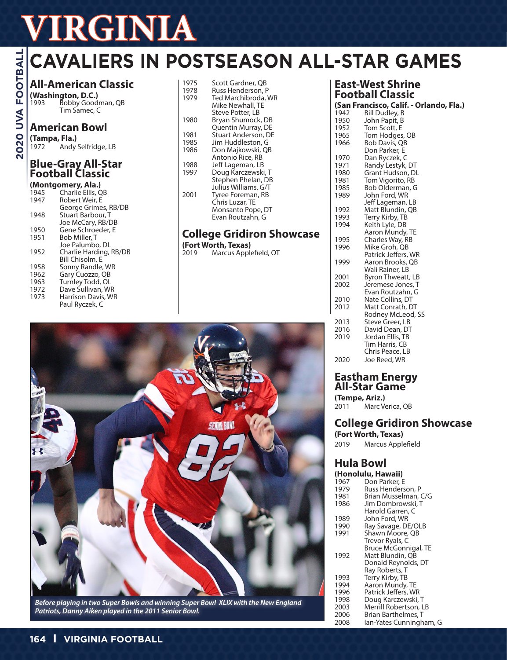# **VIRGINIA**<br> **GAVALIERS IN POS**<br> **GAVALIERS IN POS**<br> **GAVALIERS IN POS**<br> **GAVALIERS** IN POS<br> **AII-American Classic**<br> **S**<br> **S**<br> **American Bowl**<br> **O**<br> **O**<br> **CAVALIERS** IN POS<br>
<sup>1973</sup><br>
<sup>1973</sup><br>
<sup>1978</sup><br> **S**<br> **American Bowl**<br> **O**

# **CAVALIERS IN POSTSEASON ALL-STAR GAMES**

# **All-American Classic**

**(Washington, D.C.)** 1993 Bobby Goodman, QB Tim Samec, C

# **American Bowl**

**(Tampa, Fla.)** Andy Selfridge, LB

#### **Blue-Gray All-Star Football Classic**

#### **(Montgomery, Ala.)**

| 1945 | Charlie Ellis, QB      |
|------|------------------------|
| 1947 | Robert Weir, E         |
|      | George Grimes, RB/DB   |
| 1948 | Stuart Barbour. T      |
|      | Joe McCary, RB/DB      |
| 1950 | Gene Schroeder. E      |
| 1951 | Bob Miller. T          |
|      | Joe Palumbo. DL        |
| 1952 | Charlie Harding, RB/DB |
|      | Bill Chisolm, E        |
| 1958 | Sonny Randle, WR       |
| 1962 | Gary Cuozzo, QB        |
| 1963 | Turnley Todd, OL       |
| 1972 | Dave Sullivan, WR      |
| 1973 | Harrison Davis, WR     |
|      | Paul Ryczek, C         |
|      |                        |

| 1975<br>1978 | Scott Gardner, QB<br>Russ Henderson, P  |
|--------------|-----------------------------------------|
| 1979         | Ted Marchibroda, WR                     |
|              | Mike Newhall. TE<br>Steve Potter, LB    |
| 1980         | Bryan Shumock, DB<br>Quentin Murray, DE |
| 1981         | Stuart Anderson, DE                     |
| 1985         | Jim Huddleston, G                       |
| 1986         | Don Majkowski, QB                       |
|              | Antonio Rice, RB                        |
| 1988         | Jeff Lageman, LB                        |
| 1997         | Doug Karczewski, T                      |
|              | Stephen Phelan, DB                      |
|              | Julius Williams, G/T                    |
| 2001         | Tyree Foreman, RB                       |
|              | Chris Luzar, TE                         |
|              | Monsanto Pope, DT                       |
|              | Evan Routzahn, G                        |
|              |                                         |
|              | Cridiro<br>e.                           |

# **College Gridiron Showcase**

**(Fort Worth, Texas)** 2020, Marcus Applefield, OT

# **East-West Shrine Football Classic**

|      | (San Francisco, Calif. - Orlando, Fla.) |
|------|-----------------------------------------|
| 1942 | Bill Dudley, B                          |
| 1950 | John Papit, B                           |
| 1952 | Tom Scott, E                            |
| 1965 | Tom Hodges, QB                          |
| 1966 | Bob Davis, QB                           |
|      | Don Parker, E                           |
| 1970 | Dan Ryczek, C                           |
| 1971 | Randy Lestyk, DT                        |
| 1980 | Grant Hudson, DL                        |
| 1981 | Tom Vigorito, RB                        |
| 1985 | Bob Olderman, G                         |
| 1989 | John Ford, WR                           |
|      | Jeff Lageman, LB                        |
| 1992 | Matt Blundin, QB                        |
| 1993 | Terry Kirby, TB                         |
| 1994 | Keith Lyle, DB                          |
|      | Aaron Mundy, TE                         |
| 1995 | Charles Way, RB                         |
| 1996 | Mike Groh, QB                           |
|      | Patrick Jeffers, WR                     |
| 1999 | Aaron Brooks, QB                        |
|      | Wali Rainer, LB                         |
| 2001 | Byron Thweatt, LB                       |
| 2002 | Jeremese Jones, T                       |
|      | Evan Routzahn, G                        |
| 2010 | Nate Collins, DT                        |
| 2012 | Matt Conrath, DT                        |
|      | Rodney McLeod, SS                       |
| 2013 | Steve Greer, LB                         |
| 2016 | David Dean, DT                          |
| 2019 | Jordan Ellis, TB                        |
|      | Tim Harris, CB                          |
|      | Chris Peace, LB                         |
| 2020 | Joe Reed, WR                            |
|      |                                         |

# **Eastham Energy All-Star Game**

**(Tempe, Ariz.)** Marc Verica, QB

# **College Gridiron Showcase**

**(Fort Worth, Texas)** 2019 Marcus Applefield

# **Hula Bowl**

|      | (Honolulu, Hawaii)      |
|------|-------------------------|
| 1967 | Don Parker, E           |
| 1979 | Russ Henderson, P       |
| 1981 | Brian Musselman, C/G    |
| 1986 | Jim Dombrowski. T       |
|      | Harold Garren. C        |
| 1989 | John Ford, WR           |
| 1990 | Ray Savage, DE/OLB      |
| 1991 | Shawn Moore, QB         |
|      | Trevor Ryals, C         |
|      | Bruce McGonnigal, TE    |
| 1992 | Matt Blundin, QB        |
|      | Donald Reynolds, DT     |
|      | Ray Roberts, T          |
| 1993 | Terry Kirby, TB         |
| 1994 | Aaron Mundy, TE         |
| 1996 | Patrick Jeffers, WR     |
| 1998 | Doug Karczewski, T      |
| 2003 | Merrill Robertson, LB   |
| 2006 | Brian Barthelmes, T     |
| 2008 | lan-Yates Cunningham, G |
|      |                         |



*Before playing in two Super Bowls and winning Super Bowl XLIX with the New England Patriots, Danny Aiken played in the 2011 Senior Bowl.*